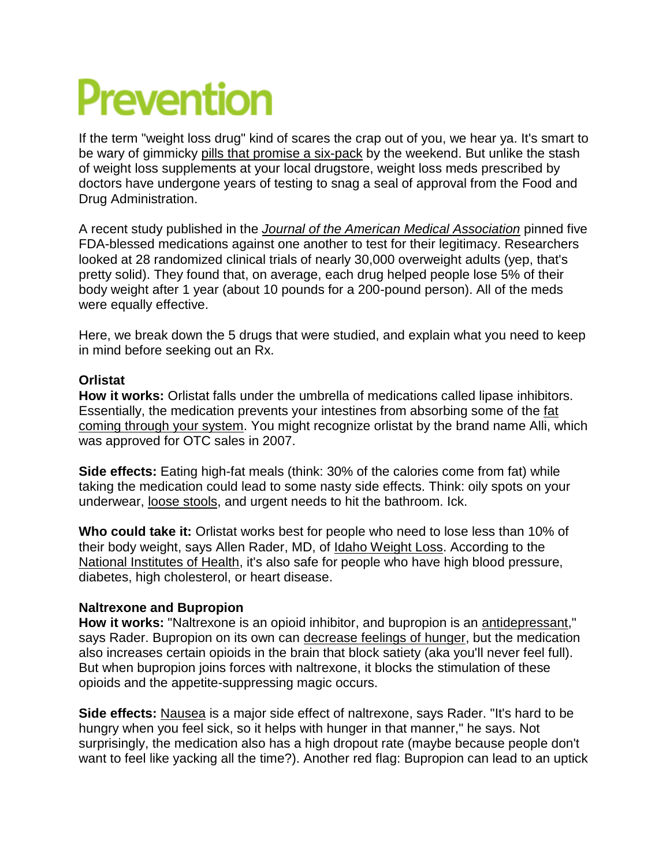# Prevention

If the term "weight loss drug" kind of scares the crap out of you, we hear ya. It's smart to be wary of gimmicky [pills that promise a six-pack](http://www.womenshealthmag.com/weight-loss/garcinia-cambogia-extract) by the weekend. But unlike the stash of weight loss supplements at your local drugstore, weight loss meds prescribed by doctors have undergone years of testing to snag a seal of approval from the Food and Drug Administration.

A recent study published in the *[Journal of the American Medical Association](http://jama.jamanetwork.com/article.aspx?articleid=2528211)* pinned five FDA-blessed medications against one another to test for their legitimacy. Researchers looked at 28 randomized clinical trials of nearly 30,000 overweight adults (yep, that's pretty solid). They found that, on average, each drug helped people lose 5% of their body weight after 1 year (about 10 pounds for a 200-pound person). All of the meds were equally effective.

Here, we break down the 5 drugs that were studied, and explain what you need to keep in mind before seeking out an Rx.

### **Orlistat**

**How it works:** Orlistat falls under the umbrella of medications called lipase inhibitors. Essentially, the medication prevents your intestines from absorbing some of the [fat](http://www.womenshealthmag.com/weight-loss/fats-for-weight-loss)  [coming through your system.](http://www.womenshealthmag.com/weight-loss/fats-for-weight-loss) You might recognize orlistat by the brand name Alli, which was approved for OTC sales in 2007.

**Side effects:** Eating high-fat meals (think: 30% of the calories come from fat) while taking the medication could lead to some nasty side effects. Think: oily spots on your underwear, [loose stools,](http://www.womenshealthmag.com/health/digestive-issues-in-women) and urgent needs to hit the bathroom. Ick.

**Who could take it:** Orlistat works best for people who need to lose less than 10% of their body weight, says Allen Rader, MD, of [Idaho Weight Loss.](http://idahoweightloss.com/) According to the [National Institutes of Health,](https://www.nlm.nih.gov/medlineplus/druginfo/meds/a601244.html) it's also safe for people who have high blood pressure, diabetes, high cholesterol, or heart disease.

## **Naltrexone and Bupropion**

**How it works:** "Naltrexone is an opioid inhibitor, and bupropion is an [antidepressant,](http://www.womenshealthmag.com/health/off-label-uses-for-antidepressants)" says Rader. Bupropion on its own can [decrease feelings of hunger,](http://www.womenshealthmag.com/weight-loss/crush-hunger) but the medication also increases certain opioids in the brain that block satiety (aka you'll never feel full). But when bupropion joins forces with naltrexone, it blocks the stimulation of these opioids and the appetite-suppressing magic occurs.

**Side effects:** [Nausea](http://www.womenshealthmag.com/health/different-kinds-of-stomach-pain) is a major side effect of naltrexone, says Rader. "It's hard to be hungry when you feel sick, so it helps with hunger in that manner," he says. Not surprisingly, the medication also has a high dropout rate (maybe because people don't want to feel like yacking all the time?). Another red flag: Bupropion can lead to an uptick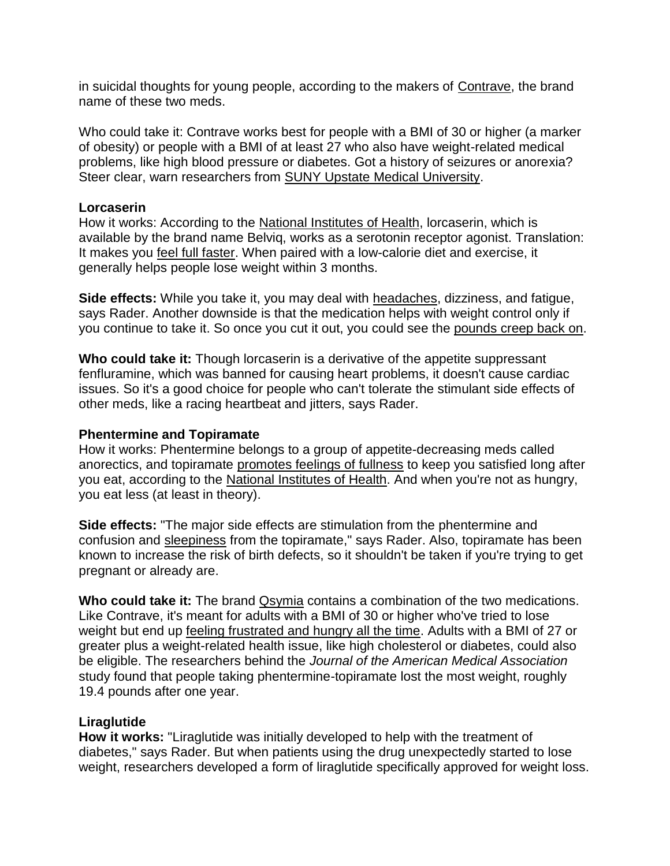in suicidal thoughts for young people, according to the makers of [Contrave,](https://www.contrave.com/about) the brand name of these two meds.

Who could take it: Contrave works best for people with a BMI of 30 or higher (a marker of obesity) or people with a BMI of at least 27 who also have weight-related medical problems, like high blood pressure or diabetes. Got a history of seizures or anorexia? Steer clear, warn researchers from [SUNY Upstate Medical University.](http://www.ncbi.nlm.nih.gov/pmc/articles/PMC4831638/)

#### **Lorcaserin**

How it works: According to the [National Institutes of Health,](https://www.nlm.nih.gov/medlineplus/druginfo/meds/a613014.html) lorcaserin, which is available by the brand name Belviq, works as a serotonin receptor agonist. Translation: It makes you [feel full faster.](http://www.womenshealthmag.com/food/high-fiber-food) When paired with a low-calorie diet and exercise, it generally helps people lose weight within 3 months.

**Side effects:** While you take it, you may deal with [headaches,](http://www.womenshealthmag.com/health/migraine-relief) dizziness, and fatigue, says Rader. Another downside is that the medication helps with weight control only if you continue to take it. So once you cut it out, you could see the [pounds creep back on.](http://www.womenshealthmag.com/weight-loss/getting-back-on-track)

**Who could take it:** Though lorcaserin is a derivative of the appetite suppressant fenfluramine, which was banned for causing heart problems, it doesn't cause cardiac issues. So it's a good choice for people who can't tolerate the stimulant side effects of other meds, like a racing heartbeat and jitters, says Rader.

#### **Phentermine and Topiramate**

How it works: Phentermine belongs to a group of appetite-decreasing meds called anorectics, and topiramate [promotes feelings of fullness](http://www.womenshealthmag.com/weight-loss/eat-more-and-lose-weight) to keep you satisfied long after you eat, according to the [National Institutes of Health.](https://www.nlm.nih.gov/medlineplus/druginfo/meds/a612037.html) And when you're not as hungry, you eat less (at least in theory).

**Side effects:** "The major side effects are stimulation from the phentermine and confusion and [sleepiness](http://www.womenshealthmag.com/weight-loss/lose-weight-by-sleeping-more) from the topiramate," says Rader. Also, topiramate has been known to increase the risk of birth defects, so it shouldn't be taken if you're trying to get pregnant or already are.

Who could take it: The brand **Qsymia** contains a combination of the two medications. Like Contrave, it's meant for adults with a BMI of 30 or higher who've tried to lose weight but end up [feeling frustrated and hungry all the time.](http://www.womenshealthmag.com/weight-loss/why-diets-dont-work) Adults with a BMI of 27 or greater plus a weight-related health issue, like high cholesterol or diabetes, could also be eligible. The researchers behind the *Journal of the American Medical Association* study found that people taking phentermine-topiramate lost the most weight, roughly 19.4 pounds after one year.

#### **Liraglutide**

**How it works:** "Liraglutide was initially developed to help with the treatment of diabetes," says Rader. But when patients using the drug unexpectedly started to lose weight, researchers developed a form of liraglutide specifically approved for weight loss.